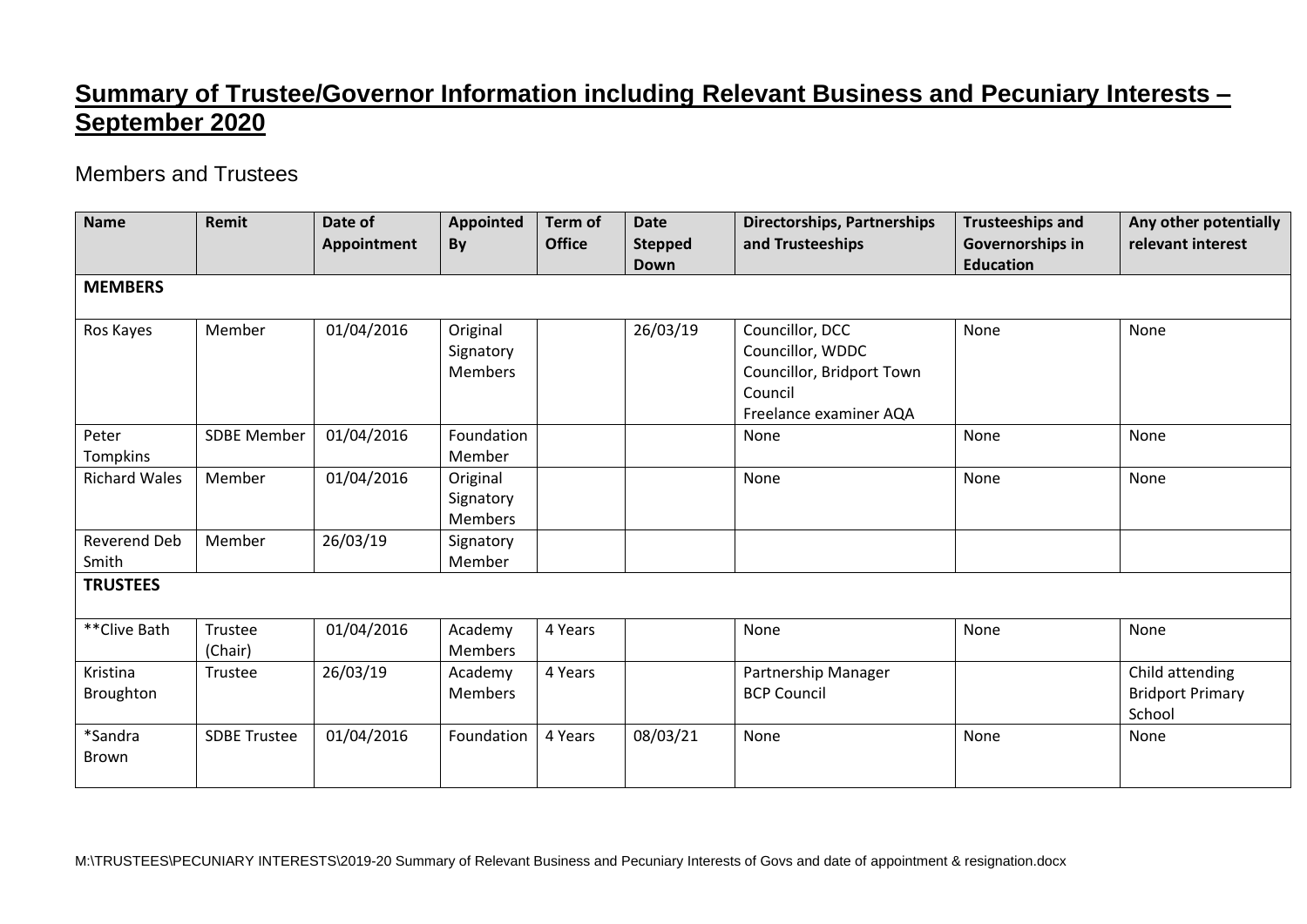## **Summary of Trustee/Governor Information including Relevant Business and Pecuniary Interests – September 2020**

## Members and Trustees

| <b>Name</b>             | Remit               | Date of<br>Appointment | <b>Appointed</b><br>By                  | Term of<br><b>Office</b> | <b>Date</b><br><b>Stepped</b><br><b>Down</b> | <b>Directorships, Partnerships</b><br>and Trusteeships                                                | <b>Trusteeships and</b><br>Governorships in<br><b>Education</b> | Any other potentially<br>relevant interest           |
|-------------------------|---------------------|------------------------|-----------------------------------------|--------------------------|----------------------------------------------|-------------------------------------------------------------------------------------------------------|-----------------------------------------------------------------|------------------------------------------------------|
| <b>MEMBERS</b>          |                     |                        |                                         |                          |                                              |                                                                                                       |                                                                 |                                                      |
| Ros Kayes               | Member              | 01/04/2016             | Original<br>Signatory<br><b>Members</b> |                          | 26/03/19                                     | Councillor, DCC<br>Councillor, WDDC<br>Councillor, Bridport Town<br>Council<br>Freelance examiner AQA | None                                                            | None                                                 |
| Peter<br>Tompkins       | <b>SDBE Member</b>  | 01/04/2016             | Foundation<br>Member                    |                          |                                              | None                                                                                                  | None                                                            | None                                                 |
| <b>Richard Wales</b>    | Member              | 01/04/2016             | Original<br>Signatory<br><b>Members</b> |                          |                                              | None                                                                                                  | None                                                            | None                                                 |
| Reverend Deb<br>Smith   | Member              | 26/03/19               | Signatory<br>Member                     |                          |                                              |                                                                                                       |                                                                 |                                                      |
| <b>TRUSTEES</b>         |                     |                        |                                         |                          |                                              |                                                                                                       |                                                                 |                                                      |
| ** Clive Bath           | Trustee<br>(Chair)  | 01/04/2016             | Academy<br><b>Members</b>               | 4 Years                  |                                              | None                                                                                                  | None                                                            | None                                                 |
| Kristina<br>Broughton   | Trustee             | 26/03/19               | Academy<br><b>Members</b>               | 4 Years                  |                                              | Partnership Manager<br><b>BCP Council</b>                                                             |                                                                 | Child attending<br><b>Bridport Primary</b><br>School |
| *Sandra<br><b>Brown</b> | <b>SDBE Trustee</b> | 01/04/2016             | Foundation                              | 4 Years                  | 08/03/21                                     | None                                                                                                  | None                                                            | None                                                 |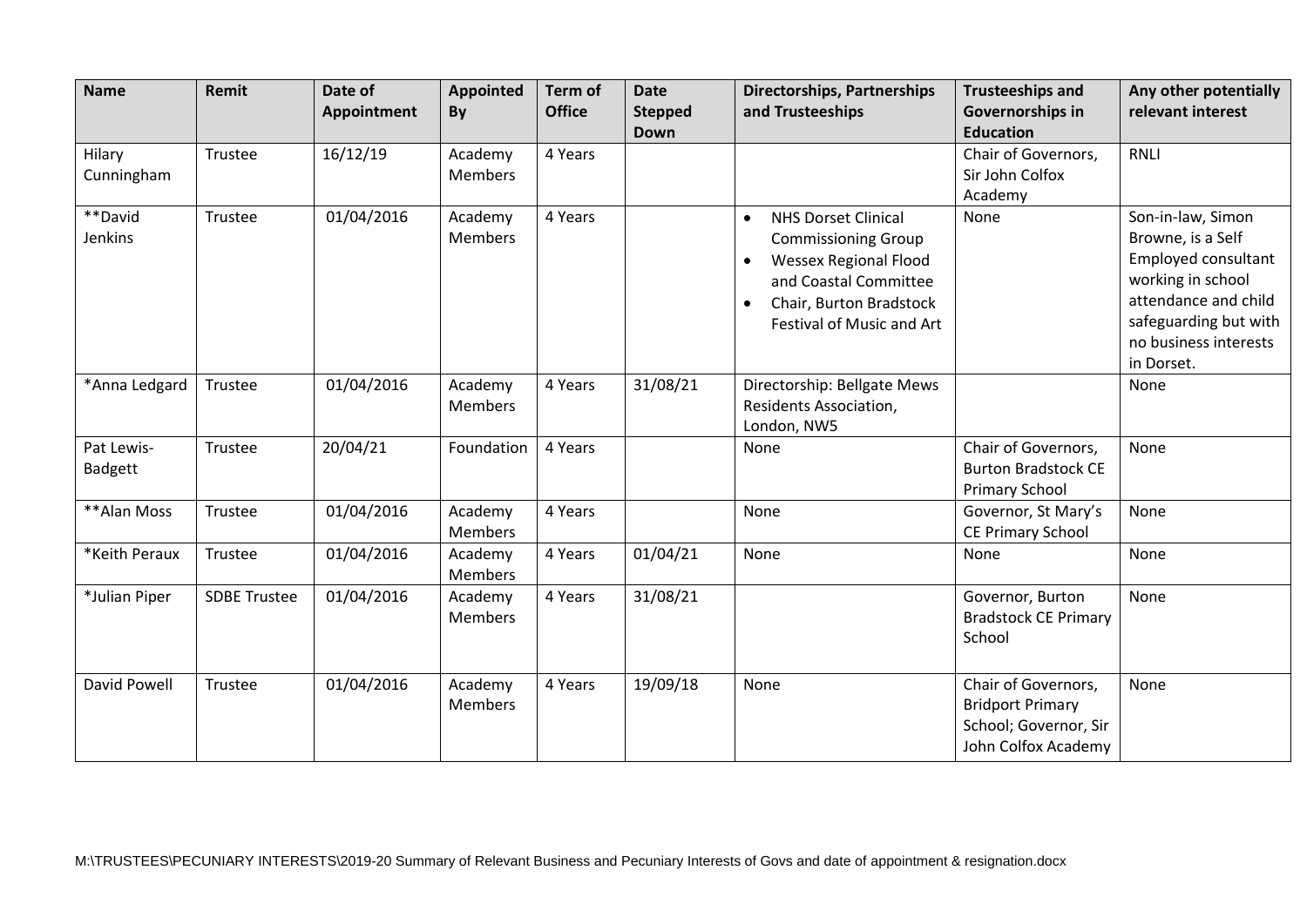| <b>Name</b>           | Remit               | Date of<br>Appointment | <b>Appointed</b><br>By    | <b>Term of</b><br><b>Office</b> | <b>Date</b><br><b>Stepped</b><br><b>Down</b> | <b>Directorships, Partnerships</b><br>and Trusteeships                                                                                                                                                           | <b>Trusteeships and</b><br>Governorships in<br><b>Education</b>                                | Any other potentially<br>relevant interest                                                                                                                                 |
|-----------------------|---------------------|------------------------|---------------------------|---------------------------------|----------------------------------------------|------------------------------------------------------------------------------------------------------------------------------------------------------------------------------------------------------------------|------------------------------------------------------------------------------------------------|----------------------------------------------------------------------------------------------------------------------------------------------------------------------------|
| Hilary<br>Cunningham  | Trustee             | 16/12/19               | Academy<br><b>Members</b> | 4 Years                         |                                              |                                                                                                                                                                                                                  | Chair of Governors,<br>Sir John Colfox<br>Academy                                              | <b>RNLI</b>                                                                                                                                                                |
| **David<br>Jenkins    | Trustee             | 01/04/2016             | Academy<br>Members        | 4 Years                         |                                              | <b>NHS Dorset Clinical</b><br>$\bullet$<br><b>Commissioning Group</b><br><b>Wessex Regional Flood</b><br>$\bullet$<br>and Coastal Committee<br>Chair, Burton Bradstock<br>$\bullet$<br>Festival of Music and Art | None                                                                                           | Son-in-law, Simon<br>Browne, is a Self<br>Employed consultant<br>working in school<br>attendance and child<br>safeguarding but with<br>no business interests<br>in Dorset. |
| *Anna Ledgard         | Trustee             | 01/04/2016             | Academy<br><b>Members</b> | 4 Years                         | 31/08/21                                     | Directorship: Bellgate Mews<br>Residents Association,<br>London, NW5                                                                                                                                             |                                                                                                | None                                                                                                                                                                       |
| Pat Lewis-<br>Badgett | Trustee             | 20/04/21               | Foundation                | 4 Years                         |                                              | None                                                                                                                                                                                                             | Chair of Governors,<br><b>Burton Bradstock CE</b><br>Primary School                            | None                                                                                                                                                                       |
| **Alan Moss           | Trustee             | 01/04/2016             | Academy<br><b>Members</b> | 4 Years                         |                                              | None                                                                                                                                                                                                             | Governor, St Mary's<br><b>CE Primary School</b>                                                | None                                                                                                                                                                       |
| *Keith Peraux         | Trustee             | 01/04/2016             | Academy<br><b>Members</b> | 4 Years                         | 01/04/21                                     | None                                                                                                                                                                                                             | None                                                                                           | None                                                                                                                                                                       |
| *Julian Piper         | <b>SDBE Trustee</b> | 01/04/2016             | Academy<br>Members        | 4 Years                         | 31/08/21                                     |                                                                                                                                                                                                                  | Governor, Burton<br><b>Bradstock CE Primary</b><br>School                                      | None                                                                                                                                                                       |
| David Powell          | Trustee             | 01/04/2016             | Academy<br><b>Members</b> | 4 Years                         | 19/09/18                                     | None                                                                                                                                                                                                             | Chair of Governors,<br><b>Bridport Primary</b><br>School; Governor, Sir<br>John Colfox Academy | None                                                                                                                                                                       |